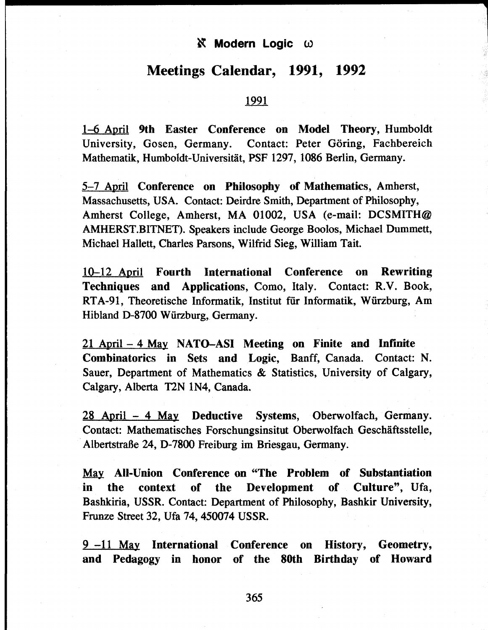## $\delta$  **Modern Logic ω**

# **Meetings Calendar, 1991, 1992**

### 1991

1-6 April **9th** Easter **Conference on Model Theory,** Humboldt University, Gosen, Germany. Contact: Peter Göring, Fachbereich Mathematik, Humboldt-Universität, PSF 1297, 1086 Berlin, Germany.

5-7 April **Conference on Philosophy of Mathematics,** Amherst, Massachusetts, USA. Contact: Deirdre Smith, Department of Philosophy, Amherst College, Amherst, MA 01002, USA (e-mail: DCSMITH@ AMHERST.BITNET). Speakers include George Boolos, Michael Dummett, Michael Hallett, Charles Parsons, Wilfrid Sieg, William Tait.

10-12 April **Fourth International Conference on Rewriting Techniques and Applications,** Como, Italy. Contact: R.V. Book, RTA-91, Theoretische Informatik, Institut für Informatik, Wűrzburg, Am Hibland D-8700 Würzburg, Germany.

21 April - **4** May **NATO-ASI Meeting on Finite and Infinite Combinatorics in** Sets **and Logic,** Banff, Canada. Contact: N. Sauer, Department of Mathematics & Statistics, University of Calgary, Calgary, Alberta T2N 1N4, Canada.

28 April - **4** May **Deductive** Systems, Oberwolfach, Germany. Contact: Mathematisches Forschungsinsitut Oberwolfach Geschäftsstelle, Albertstraße 24, D-7800 Freiburg im Briesgau, Germany.

May **All-Union Conference on "The Problem of Substantiation in the context of the Development of Culture",** Ufa, Bashkiria, USSR. Contact: Department of Philosophy, Bashkir University, Frunze Street 32, Ufa 74, 450074 USSR.

9-11 May **International Conference on History, Geometry, and Pedagogy in honor of the 80th Birthday of Howard**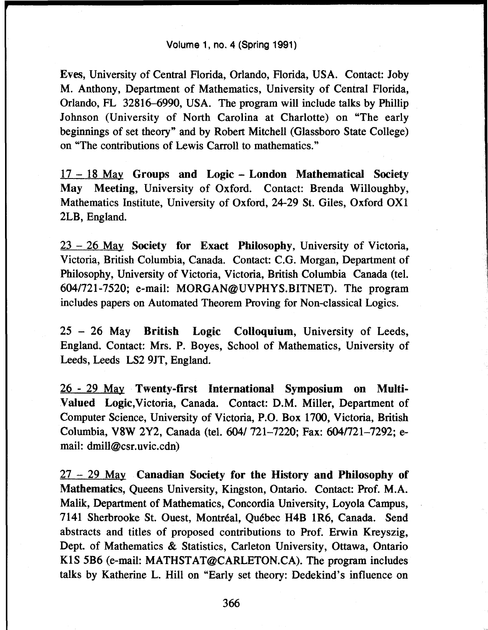Eves, University of Central Florida, Orlando, Florida, USA. Contact: Joby M. Anthony, Department of Mathematics, University of Central Florida, Orlando, FL 32816-6990, USA. The program will include talks by Phillip Johnson (University of North Carolina at Charlotte) on "The early beginnings of set theory" and by Robert Mitchell (Glassboro State College) on "The contributions of Lewis Carroll to mathematics."

17 - 18 May **Groups and Logic** - **London Mathematical Society** May **Meeting,** University of Oxford. Contact: Brenda Willoughby, Mathematics Institute, University of Oxford, 24-29 St. Giles, Oxford 0X1 2LB, England.

23 - 26 May **Society for Exact Philosophy,** University of Victoria, Victoria, British Columbia, Canada. Contact: C.G. Morgan, Department of Philosophy, University of Victoria, Victoria, British Columbia Canada (tel. 604/721-7520; e-mail: MORGAN@UVPHYS.BITNET). The program includes papers on Automated Theorem Proving for Non-classical Logics.

25 - 26 May **British Logic Colloquium,** University of Leeds, England. Contact: Mrs. P. Boyes, School of Mathematics, University of Leeds, Leeds LS2 9JT, England.

26 - 29 May **Twenty-first International Symposium on Multi-Valued Logic,**Victoria, Canada. Contact: D.M. Miller, Department of Computer Science, University of Victoria, P.O. Box 1700, Victoria, British Columbia, V8W 2Y2, Canada (tel. 604/ 721-7220; Fax: 604/721-7292; email: dmill@csr.uvic.cdn)

27 - 29 May **Canadian Society for the History and Philosophy of Mathematics,** Queens University, Kingston, Ontario. Contact: Prof. M.A. Malik, Department of Mathematics, Concordia University, Loyola Campus, 7141 Sherbrooke St. Ouest, Montréal, Québec H4B 1R6, Canada. Send abstracts and titles of proposed contributions to Prof. Erwin Kreyszig, Dept. of Mathematics & Statistics, Carleton University, Ottawa, Ontario KIS 5B6 (e-mail: MATHSTAT@CARLETON.CA). The program includes talks by Katherine L. Hill on "Early set theory: Dedekind's influence on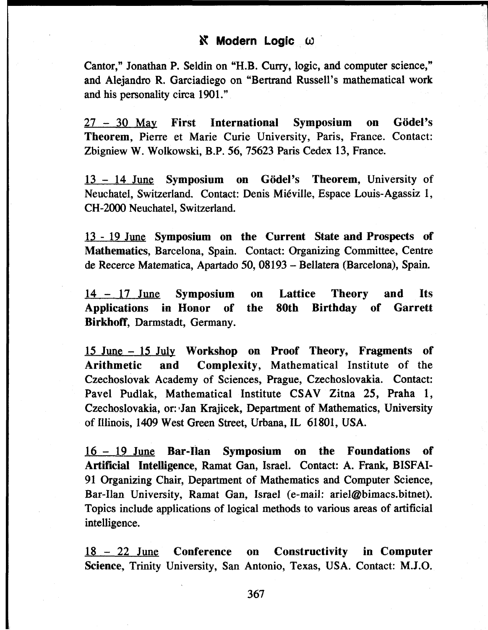## **K** Modern Logic ω

Cantor," Jonathan P. Seldin on "H.B. Curry, logic, and computer science," and Alejandro R. Garciadiego on "Bertrand Russell's mathematical work and his personality circa 1901."

27 - 30 May **First International Symposium on GÖdePs Theorem,** Pierre et Marie Curie University, Paris, France. Contact: Zbigniew W. Wolkowski, B.P. 56, 75623 Paris Cedex 13, France.

13 - 14 June **Symposium on Godei's Theorem,** University of Neuchatel, Switzerland. Contact: Denis Miéville, Espace Louis-Agassiz 1, CH-2000 Neuchatel, Switzerland.

13 - 19 June **Symposium on the Current State and Prospects of Mathematics,** Barcelona, Spain. Contact: Organizing Committee, Centre de Recerce Matematica, Apartado 50, 08193 - Bellatera (Barcelona), Spain.

14 - 17 June **Symposium on Lattice Theory and Its Applications in Honor of the 80th Birthday of Garrett Birkhoff,** Darmstadt, Germany.

15 June - 15 July **Workshop on Proof Theory, Fragments of Arithmetic and Complexity,** Mathematical Institute of the Czechoslovak Academy of Sciences, Prague, Czechoslovakia. Contact: Pavel Pudlak, Mathematical Institute CSAV Zitna 25, Praha 1, Czechoslovakia, or: 'Jan Krajicek, Department of Mathematics, University of Illinois, 1409 West Green Street, Urbana, IL 61801, USA.

16 - 19 June **Bar-Han Symposium on the Foundations of Artificial Intelligence,** Ramat Gan, Israel. Contact: A. Frank, BISFAI-91 Organizing Chair, Department of Mathematics and Computer Science, Bar-Ilan University, Ramat Gan, Israel (e-mail: ariel@bimacs.bitnet). Topics include applications of logical methods to various areas of artificial intelligence.

18-2 2 June **Conference on Constructivity in Computer Science,** Trinity University, San Antonio, Texas, USA. Contact: M.J.O.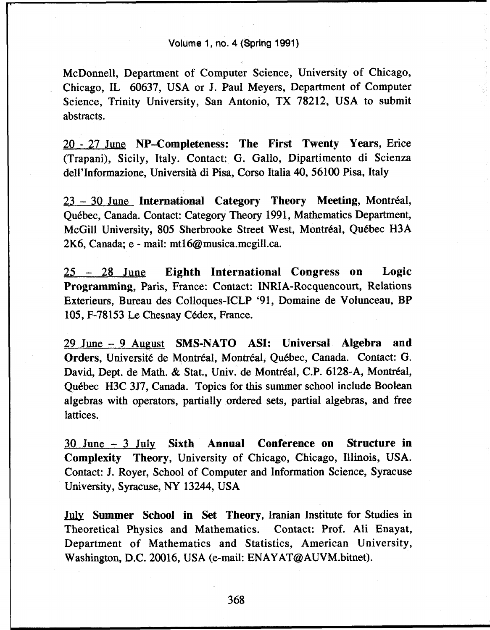#### Volume 1, no. 4 (Spring 1991)

McDonnell, Department of Computer Science, University of Chicago, Chicago, IL 60637, USA or J. Paul Meyers, Department of Computer Science, Trinity University, San Antonio, TX 78212, USA to submit abstracts.

20 - 27 June **NP-Completeness: The First Twenty Years,** Erice (Trapani), Sicily, Italy. Contact: G. Gallo, Dipartimento di Scienza dell'Informazione, Università di Pisa, Corso Italia 40, 56100 Pisa, Italy

23 - 30 June **International Category Theory Meeting,** Montréal, Québec, Canada. Contact: Category Theory 1991, Mathematics Department, McGill University, 805 Sherbrooke Street West, Montréal, Québec H3A 2K6, Canada; e - mail: mt16 $@$ musica.mcgill.ca.

25 - 28 June **Eighth International Congress on Logic Programming,** Paris, France: Contact: INRIA-Rocquencourt, Relations Exterieurs, Bureau des Colloques-ICLP '91, Domaine de Volunceau, BP 105, F-78153 Le Chesnay Cedex, France.

29 June - 9 August **SMS-NATO ASI: Universal Algebra and Orders,** Université de Montréal, Montréal, Québec, Canada. Contact: G. David, Dept. de Math. & Stat, Univ. de Montréal, C.P. 6128-A, Montréal, Québec H3C 3J7, Canada. Topics for this summer school include Boolean algebras with operators, partially ordered sets, partial algebras, and free lattices.

30 June - 3 July **Sixth Annual Conference on Structure in Complexity Theory,** University of Chicago, Chicago, Illinois, USA. Contact: J. Royer, School of Computer and Information Science, Syracuse University, Syracuse, NY 13244, USA

July **Summer School in Set Theory,** Iranian Institute for Studies in Theoretical Physics and Mathematics. Contact: Prof. Ali Enayat, Department of Mathematics and Statistics, American University, Washington, D.C. 20016, USA (e-mail: ENAYAT@AUVM.bitnet).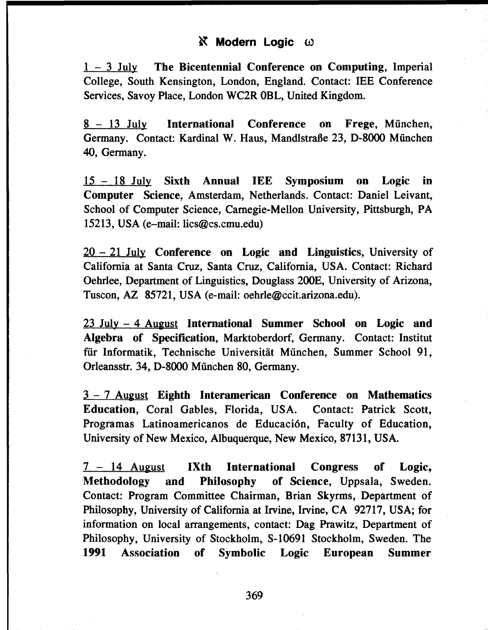## **K** Modern Logic ω

1 - 3 July The Bicentennial Conference on Computing, Imperial College, South Kensington, London, England. Contact: IEE Conference Services, Savoy Place, London WC2R OBL, United Kingdom.

8-1 3 July International Conference on Frege, München, Germany. Contact: Kardinal W. Haus, Mandlstraße 23, D-8000 München 40, Germany.

15 - 18 July Sixth Annual IEE Symposium on Logic in Computer Science, Amsterdam, Netherlands. Contact: Daniel Leivant, School of Computer Science, Carnegie-Mellon University, Pittsburgh, PA 15213, USA (e-mail: lics@cs.cmu.edu)

 $20-21$  July Conference on Logic and Linguistics, University of California at Santa Cruz, Santa Cruz, California, USA. Contact: Richard Oehrlee, Department of Linguistics, Douglass 200E, University of Arizona, Tuscon, AZ 85721, USA (e-mail: oehrle@ccit.arizona.edu).

23 July - 4 August International Summer School on Logic and Algebra of Specification, Marktoberdorf, Germany. Contact: Institut für Informatik, Technische Universität München, Summer School 91, Orleansstr. 34, D-8000 München 80, Germany.

3 - 7 August Eighth Interamerican Conference on Mathematics Education, Coral Gables, Florida, USA. Contact: Patrick Scott, Programas Latinoamericanos de Educación, Faculty of Education, University of New Mexico, Albuquerque, New Mexico, 87131, USA.

7 - 14 August IXth International Congress of Logic, Methodology and Philosophy of Science, Uppsala, Sweden. Contact: Program Committee Chairman, Brian Skyrms, Department of Philosophy, University of California at Irvine, Irvine, CA 92717, USA; for information on local arrangements, contact: Dag Prawitz, Department of Philosophy, University of Stockholm, S-10691 Stockholm, Sweden. The 1991 Association of Symbolic Logic European Summer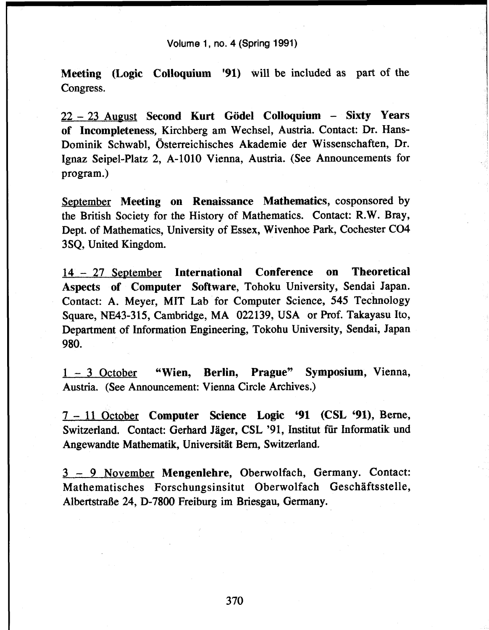#### Volume 1, no. 4 (Spring 1991)

**Meeting (Logic Colloquium '91)** will be included as part of the Congress.

22 - 23 August **Second Kurt Godei Colloquium - Sixty Years of Incompleteness,** Kirchberg am Wechsel, Austria. Contact: Dr. Hans-Dominik Schwabl, Österreichisches Akademie der Wissenschaften, Dr. Ignaz Seipel-Platz 2, A-1010 Vienna, Austria. (See Announcements for program.)

September **Meeting on Renaissance Mathematics,** cosponsored by the British Society for the History of Mathematics. Contact: R.W. Bray, Dept. of Mathematics, University of Essex, Wivenhoe Park, Cochester CO4 3SQ, United Kingdom.

14 - 27 September **International Conference on Theoretical Aspects of Computer Software,** Tohoku University, Sendai Japan. Contact: A. Meyer, MIT Lab for Computer Science, 545 Technology Square, NE43-315, Cambridge, MA 022139, USA or Prof. Takayasu Ito, Department of Information Engineering, Tokohu University, Sendai, Japan 980.

1 - 3 October **"Wien, Berlin, Prague" Symposium,** Vienna, Austria. (See Announcement: Vienna Circle Archives.)

7-1 1 October **Computer Science Logic '91 (CSL** *'91),* Berne, Switzerland. Contact: Gerhard Jäger, CSL '91, Institut für Informatik und Angewandte Mathematik, Universität Bern, Switzerland.

3 - 9 November **Mengenlehre,** Oberwolfach, Germany. Contact: Mathematisches Forschungsinsitut Oberwolfach Geschäftsstelle, Albertstraße 24, D-7800 Freiburg im Briesgau, Germany.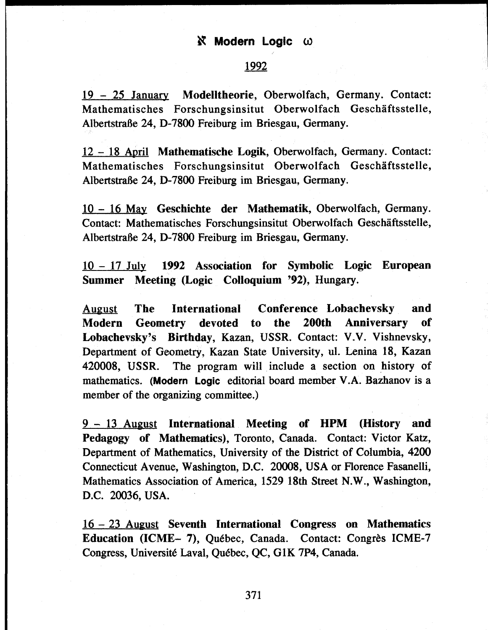### 1992

19-2 5 January **Modelltheorie,** Oberwolfach, Germany. Contact: Mathematisches Forschungsinsitut Oberwolfach Geschäftsstelle, Albertstraße 24, D-7800 Freiburg im Briesgau, Germany.

12 - 18 April **Mathematische Logik,** Oberwolfach, Germany. Contact: Mathematisches Forschungsinsitut Oberwolfach Geschäftsstelle, Albertstraße 24, D-7800 Freiburg im Briesgau, Germany.

10 - 16 May **Geschichte der Mathematik,** Oberwolfach, Germany. Contact: Mathematisches Forschungsinsitut Oberwolfach Geschäftsstelle, Albertstraße 24, D-7800 Freiburg im Briesgau, Germany.

10 - 17 July **1992 Association for Symbolic Logic European Summer Meeting (Logic Colloquium '92),** Hungary.

August **The International Conference Lobachevsky and Modern Geometry devoted to the 200th Anniversary of Lobachevsky's Birthday,** Kazan, USSR. Contact: V.V. Vishnevsky, Department of Geometry, Kazan State University, ul. Lenina 18, Kazan 420008, USSR. The program will include a section on history of mathematics. **(Modern Logic** editorial board member V.A. Bazhanov is a member of the organizing committee.)

9-1 3 August **International Meeting of HPM (History and Pedagogy of Mathematics),** Toronto, Canada. Contact: Victor Katz, Department of Mathematics, University of the District of Columbia, 4200 Connecticut Avenue, Washington, D.C. 20008, USA or Florence Fasanelli, Mathematics Association of America, 1529 18th Street N.W., Washington, D.C. 20036, USA.

16-2 3 August **Seventh International Congress on Mathematics Education (ICME- 7),** Québec, Canada. Contact: Congrès ICME-7 Congress, Université Laval, Québec, QC, G1K 7P4, Canada.